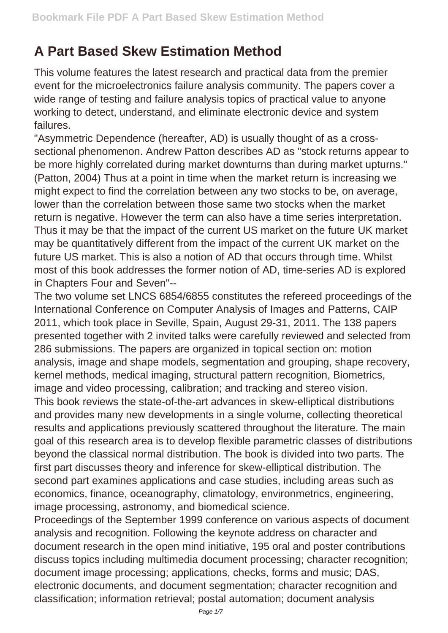## **A Part Based Skew Estimation Method**

This volume features the latest research and practical data from the premier event for the microelectronics failure analysis community. The papers cover a wide range of testing and failure analysis topics of practical value to anyone working to detect, understand, and eliminate electronic device and system failures.

"Asymmetric Dependence (hereafter, AD) is usually thought of as a crosssectional phenomenon. Andrew Patton describes AD as "stock returns appear to be more highly correlated during market downturns than during market upturns." (Patton, 2004) Thus at a point in time when the market return is increasing we might expect to find the correlation between any two stocks to be, on average, lower than the correlation between those same two stocks when the market return is negative. However the term can also have a time series interpretation. Thus it may be that the impact of the current US market on the future UK market may be quantitatively different from the impact of the current UK market on the future US market. This is also a notion of AD that occurs through time. Whilst most of this book addresses the former notion of AD, time-series AD is explored in Chapters Four and Seven"--

The two volume set LNCS 6854/6855 constitutes the refereed proceedings of the International Conference on Computer Analysis of Images and Patterns, CAIP 2011, which took place in Seville, Spain, August 29-31, 2011. The 138 papers presented together with 2 invited talks were carefully reviewed and selected from 286 submissions. The papers are organized in topical section on: motion analysis, image and shape models, segmentation and grouping, shape recovery, kernel methods, medical imaging, structural pattern recognition, Biometrics, image and video processing, calibration; and tracking and stereo vision.

This book reviews the state-of-the-art advances in skew-elliptical distributions and provides many new developments in a single volume, collecting theoretical results and applications previously scattered throughout the literature. The main goal of this research area is to develop flexible parametric classes of distributions beyond the classical normal distribution. The book is divided into two parts. The first part discusses theory and inference for skew-elliptical distribution. The second part examines applications and case studies, including areas such as economics, finance, oceanography, climatology, environmetrics, engineering, image processing, astronomy, and biomedical science.

Proceedings of the September 1999 conference on various aspects of document analysis and recognition. Following the keynote address on character and document research in the open mind initiative, 195 oral and poster contributions discuss topics including multimedia document processing; character recognition; document image processing; applications, checks, forms and music; DAS, electronic documents, and document segmentation; character recognition and classification; information retrieval; postal automation; document analysis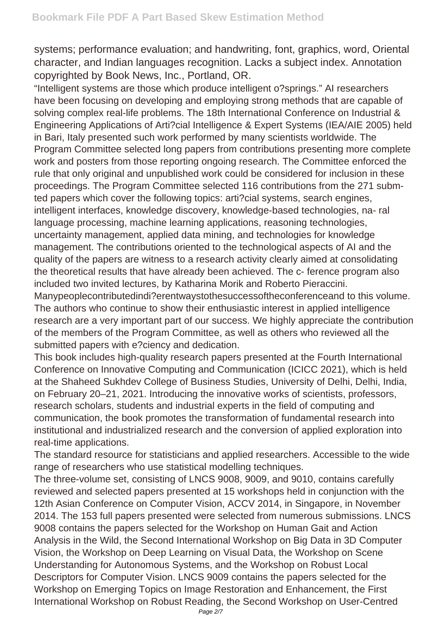systems; performance evaluation; and handwriting, font, graphics, word, Oriental character, and Indian languages recognition. Lacks a subject index. Annotation copyrighted by Book News, Inc., Portland, OR.

"Intelligent systems are those which produce intelligent o?springs." AI researchers have been focusing on developing and employing strong methods that are capable of solving complex real-life problems. The 18th International Conference on Industrial & Engineering Applications of Arti?cial Intelligence & Expert Systems (IEA/AIE 2005) held in Bari, Italy presented such work performed by many scientists worldwide. The Program Committee selected long papers from contributions presenting more complete work and posters from those reporting ongoing research. The Committee enforced the rule that only original and unpublished work could be considered for inclusion in these proceedings. The Program Committee selected 116 contributions from the 271 submted papers which cover the following topics: arti?cial systems, search engines, intelligent interfaces, knowledge discovery, knowledge-based technologies, na- ral language processing, machine learning applications, reasoning technologies, uncertainty management, applied data mining, and technologies for knowledge management. The contributions oriented to the technological aspects of AI and the quality of the papers are witness to a research activity clearly aimed at consolidating the theoretical results that have already been achieved. The c- ference program also included two invited lectures, by Katharina Morik and Roberto Pieraccini.

Manypeoplecontributedindi?erentwaystothesuccessoftheconferenceand to this volume. The authors who continue to show their enthusiastic interest in applied intelligence research are a very important part of our success. We highly appreciate the contribution of the members of the Program Committee, as well as others who reviewed all the submitted papers with e?ciency and dedication.

This book includes high-quality research papers presented at the Fourth International Conference on Innovative Computing and Communication (ICICC 2021), which is held at the Shaheed Sukhdev College of Business Studies, University of Delhi, Delhi, India, on February 20–21, 2021. Introducing the innovative works of scientists, professors, research scholars, students and industrial experts in the field of computing and communication, the book promotes the transformation of fundamental research into institutional and industrialized research and the conversion of applied exploration into real-time applications.

The standard resource for statisticians and applied researchers. Accessible to the wide range of researchers who use statistical modelling techniques.

The three-volume set, consisting of LNCS 9008, 9009, and 9010, contains carefully reviewed and selected papers presented at 15 workshops held in conjunction with the 12th Asian Conference on Computer Vision, ACCV 2014, in Singapore, in November 2014. The 153 full papers presented were selected from numerous submissions. LNCS 9008 contains the papers selected for the Workshop on Human Gait and Action Analysis in the Wild, the Second International Workshop on Big Data in 3D Computer Vision, the Workshop on Deep Learning on Visual Data, the Workshop on Scene Understanding for Autonomous Systems, and the Workshop on Robust Local Descriptors for Computer Vision. LNCS 9009 contains the papers selected for the Workshop on Emerging Topics on Image Restoration and Enhancement, the First International Workshop on Robust Reading, the Second Workshop on User-Centred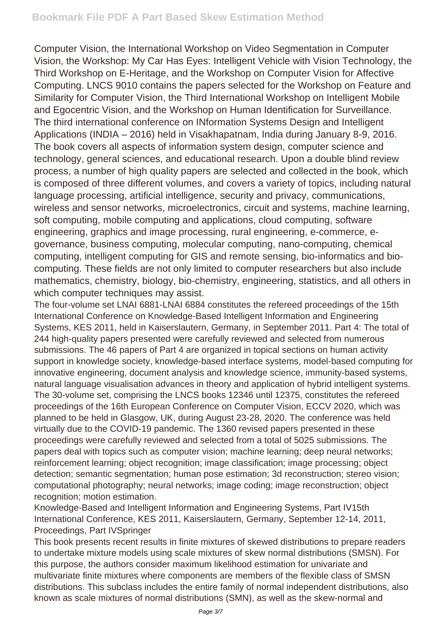Computer Vision, the International Workshop on Video Segmentation in Computer Vision, the Workshop: My Car Has Eyes: Intelligent Vehicle with Vision Technology, the Third Workshop on E-Heritage, and the Workshop on Computer Vision for Affective Computing. LNCS 9010 contains the papers selected for the Workshop on Feature and Similarity for Computer Vision, the Third International Workshop on Intelligent Mobile and Egocentric Vision, and the Workshop on Human Identification for Surveillance. The third international conference on INformation Systems Design and Intelligent Applications (INDIA – 2016) held in Visakhapatnam, India during January 8-9, 2016. The book covers all aspects of information system design, computer science and technology, general sciences, and educational research. Upon a double blind review process, a number of high quality papers are selected and collected in the book, which is composed of three different volumes, and covers a variety of topics, including natural language processing, artificial intelligence, security and privacy, communications, wireless and sensor networks, microelectronics, circuit and systems, machine learning, soft computing, mobile computing and applications, cloud computing, software engineering, graphics and image processing, rural engineering, e-commerce, egovernance, business computing, molecular computing, nano-computing, chemical computing, intelligent computing for GIS and remote sensing, bio-informatics and biocomputing. These fields are not only limited to computer researchers but also include mathematics, chemistry, biology, bio-chemistry, engineering, statistics, and all others in which computer techniques may assist.

The four-volume set LNAI 6881-LNAI 6884 constitutes the refereed proceedings of the 15th International Conference on Knowledge-Based Intelligent Information and Engineering Systems, KES 2011, held in Kaiserslautern, Germany, in September 2011. Part 4: The total of 244 high-quality papers presented were carefully reviewed and selected from numerous submissions. The 46 papers of Part 4 are organized in topical sections on human activity support in knowledge society, knowledge-based interface systems, model-based computing for innovative engineering, document analysis and knowledge science, immunity-based systems, natural language visualisation advances in theory and application of hybrid intelligent systems. The 30-volume set, comprising the LNCS books 12346 until 12375, constitutes the refereed proceedings of the 16th European Conference on Computer Vision, ECCV 2020, which was planned to be held in Glasgow, UK, during August 23-28, 2020. The conference was held virtually due to the COVID-19 pandemic. The 1360 revised papers presented in these proceedings were carefully reviewed and selected from a total of 5025 submissions. The papers deal with topics such as computer vision; machine learning; deep neural networks; reinforcement learning; object recognition; image classification; image processing; object detection; semantic segmentation; human pose estimation; 3d reconstruction; stereo vision; computational photography; neural networks; image coding; image reconstruction; object recognition; motion estimation.

Knowledge-Based and Intelligent Information and Engineering Systems, Part IV15th International Conference, KES 2011, Kaiserslautern, Germany, September 12-14, 2011, Proceedings, Part IVSpringer

This book presents recent results in finite mixtures of skewed distributions to prepare readers to undertake mixture models using scale mixtures of skew normal distributions (SMSN). For this purpose, the authors consider maximum likelihood estimation for univariate and multivariate finite mixtures where components are members of the flexible class of SMSN distributions. This subclass includes the entire family of normal independent distributions, also known as scale mixtures of normal distributions (SMN), as well as the skew-normal and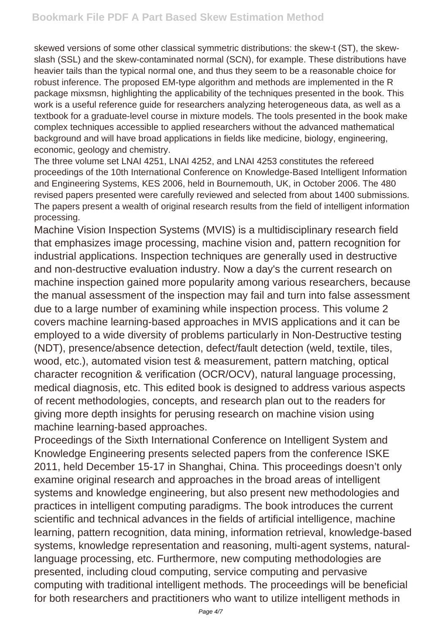skewed versions of some other classical symmetric distributions: the skew-t (ST), the skewslash (SSL) and the skew-contaminated normal (SCN), for example. These distributions have heavier tails than the typical normal one, and thus they seem to be a reasonable choice for robust inference. The proposed EM-type algorithm and methods are implemented in the R package mixsmsn, highlighting the applicability of the techniques presented in the book. This work is a useful reference guide for researchers analyzing heterogeneous data, as well as a textbook for a graduate-level course in mixture models. The tools presented in the book make complex techniques accessible to applied researchers without the advanced mathematical background and will have broad applications in fields like medicine, biology, engineering, economic, geology and chemistry.

The three volume set LNAI 4251, LNAI 4252, and LNAI 4253 constitutes the refereed proceedings of the 10th International Conference on Knowledge-Based Intelligent Information and Engineering Systems, KES 2006, held in Bournemouth, UK, in October 2006. The 480 revised papers presented were carefully reviewed and selected from about 1400 submissions. The papers present a wealth of original research results from the field of intelligent information processing.

Machine Vision Inspection Systems (MVIS) is a multidisciplinary research field that emphasizes image processing, machine vision and, pattern recognition for industrial applications. Inspection techniques are generally used in destructive and non-destructive evaluation industry. Now a day's the current research on machine inspection gained more popularity among various researchers, because the manual assessment of the inspection may fail and turn into false assessment due to a large number of examining while inspection process. This volume 2 covers machine learning-based approaches in MVIS applications and it can be employed to a wide diversity of problems particularly in Non-Destructive testing (NDT), presence/absence detection, defect/fault detection (weld, textile, tiles, wood, etc.), automated vision test & measurement, pattern matching, optical character recognition & verification (OCR/OCV), natural language processing, medical diagnosis, etc. This edited book is designed to address various aspects of recent methodologies, concepts, and research plan out to the readers for giving more depth insights for perusing research on machine vision using machine learning-based approaches.

Proceedings of the Sixth International Conference on Intelligent System and Knowledge Engineering presents selected papers from the conference ISKE 2011, held December 15-17 in Shanghai, China. This proceedings doesn't only examine original research and approaches in the broad areas of intelligent systems and knowledge engineering, but also present new methodologies and practices in intelligent computing paradigms. The book introduces the current scientific and technical advances in the fields of artificial intelligence, machine learning, pattern recognition, data mining, information retrieval, knowledge-based systems, knowledge representation and reasoning, multi-agent systems, naturallanguage processing, etc. Furthermore, new computing methodologies are presented, including cloud computing, service computing and pervasive computing with traditional intelligent methods. The proceedings will be beneficial for both researchers and practitioners who want to utilize intelligent methods in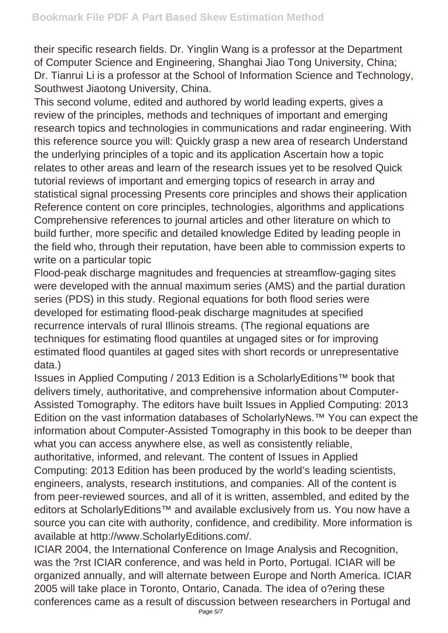their specific research fields. Dr. Yinglin Wang is a professor at the Department of Computer Science and Engineering, Shanghai Jiao Tong University, China; Dr. Tianrui Li is a professor at the School of Information Science and Technology, Southwest Jiaotong University, China.

This second volume, edited and authored by world leading experts, gives a review of the principles, methods and techniques of important and emerging research topics and technologies in communications and radar engineering. With this reference source you will: Quickly grasp a new area of research Understand the underlying principles of a topic and its application Ascertain how a topic relates to other areas and learn of the research issues yet to be resolved Quick tutorial reviews of important and emerging topics of research in array and statistical signal processing Presents core principles and shows their application Reference content on core principles, technologies, algorithms and applications Comprehensive references to journal articles and other literature on which to build further, more specific and detailed knowledge Edited by leading people in the field who, through their reputation, have been able to commission experts to write on a particular topic

Flood-peak discharge magnitudes and frequencies at streamflow-gaging sites were developed with the annual maximum series (AMS) and the partial duration series (PDS) in this study. Regional equations for both flood series were developed for estimating flood-peak discharge magnitudes at specified recurrence intervals of rural Illinois streams. (The regional equations are techniques for estimating flood quantiles at ungaged sites or for improving estimated flood quantiles at gaged sites with short records or unrepresentative data.)

Issues in Applied Computing / 2013 Edition is a ScholarlyEditions™ book that delivers timely, authoritative, and comprehensive information about Computer-Assisted Tomography. The editors have built Issues in Applied Computing: 2013 Edition on the vast information databases of ScholarlyNews.™ You can expect the information about Computer-Assisted Tomography in this book to be deeper than what you can access anywhere else, as well as consistently reliable, authoritative, informed, and relevant. The content of Issues in Applied Computing: 2013 Edition has been produced by the world's leading scientists, engineers, analysts, research institutions, and companies. All of the content is from peer-reviewed sources, and all of it is written, assembled, and edited by the editors at ScholarlyEditions<sup>™</sup> and available exclusively from us. You now have a source you can cite with authority, confidence, and credibility. More information is available at http://www.ScholarlyEditions.com/.

ICIAR 2004, the International Conference on Image Analysis and Recognition, was the ?rst ICIAR conference, and was held in Porto, Portugal. ICIAR will be organized annually, and will alternate between Europe and North America. ICIAR 2005 will take place in Toronto, Ontario, Canada. The idea of o?ering these conferences came as a result of discussion between researchers in Portugal and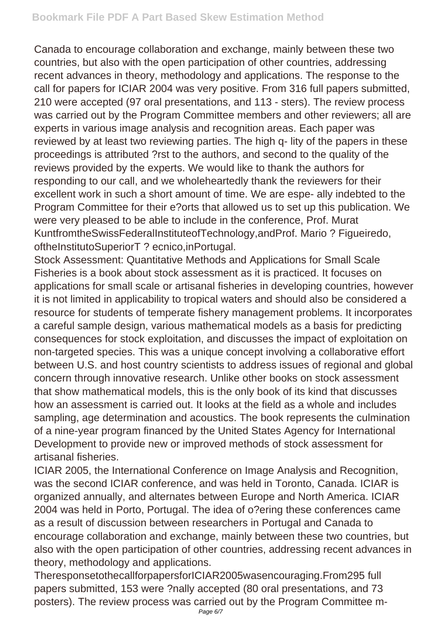Canada to encourage collaboration and exchange, mainly between these two countries, but also with the open participation of other countries, addressing recent advances in theory, methodology and applications. The response to the call for papers for ICIAR 2004 was very positive. From 316 full papers submitted, 210 were accepted (97 oral presentations, and 113 - sters). The review process was carried out by the Program Committee members and other reviewers; all are experts in various image analysis and recognition areas. Each paper was reviewed by at least two reviewing parties. The high q- lity of the papers in these proceedings is attributed ?rst to the authors, and second to the quality of the reviews provided by the experts. We would like to thank the authors for responding to our call, and we wholeheartedly thank the reviewers for their excellent work in such a short amount of time. We are espe- ally indebted to the Program Committee for their e?orts that allowed us to set up this publication. We were very pleased to be able to include in the conference, Prof. Murat KuntfromtheSwissFederalInstituteofTechnology,andProf. Mario ? Figueiredo, oftheInstitutoSuperiorT ? ecnico, inPortugal.

Stock Assessment: Quantitative Methods and Applications for Small Scale Fisheries is a book about stock assessment as it is practiced. It focuses on applications for small scale or artisanal fisheries in developing countries, however it is not limited in applicability to tropical waters and should also be considered a resource for students of temperate fishery management problems. It incorporates a careful sample design, various mathematical models as a basis for predicting consequences for stock exploitation, and discusses the impact of exploitation on non-targeted species. This was a unique concept involving a collaborative effort between U.S. and host country scientists to address issues of regional and global concern through innovative research. Unlike other books on stock assessment that show mathematical models, this is the only book of its kind that discusses how an assessment is carried out. It looks at the field as a whole and includes sampling, age determination and acoustics. The book represents the culmination of a nine-year program financed by the United States Agency for International Development to provide new or improved methods of stock assessment for artisanal fisheries.

ICIAR 2005, the International Conference on Image Analysis and Recognition, was the second ICIAR conference, and was held in Toronto, Canada. ICIAR is organized annually, and alternates between Europe and North America. ICIAR 2004 was held in Porto, Portugal. The idea of o?ering these conferences came as a result of discussion between researchers in Portugal and Canada to encourage collaboration and exchange, mainly between these two countries, but also with the open participation of other countries, addressing recent advances in theory, methodology and applications.

TheresponsetothecallforpapersforICIAR2005wasencouraging.From295 full papers submitted, 153 were ?nally accepted (80 oral presentations, and 73 posters). The review process was carried out by the Program Committee m